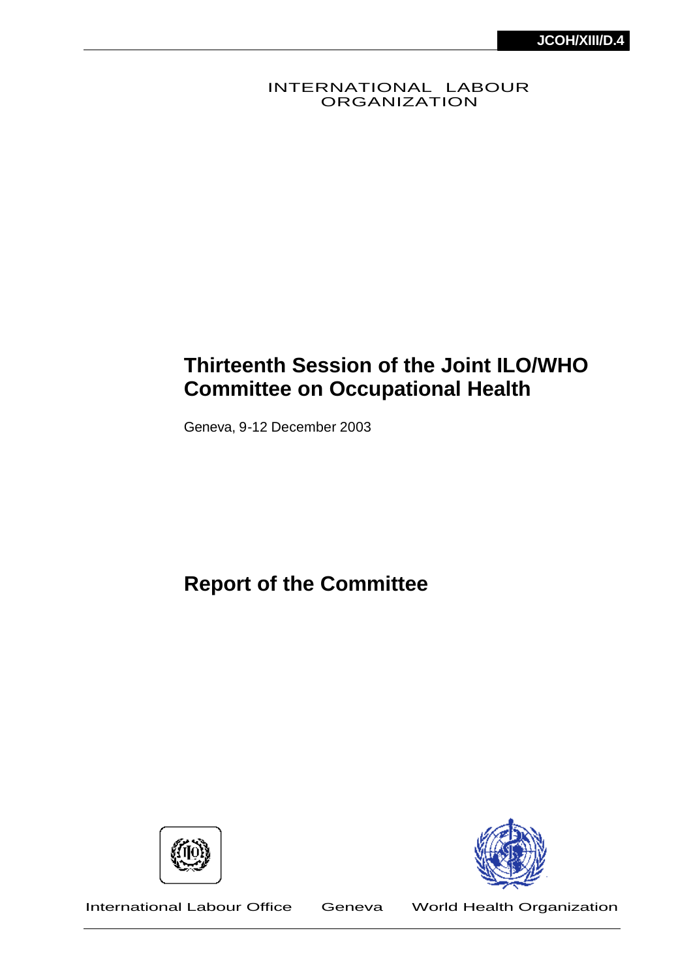INTERNATIONAL LABOUR ORGANIZATION

# **Thirteenth Session of the Joint ILO/WHO Committee on Occupational Health**

Geneva, 9-12 December 2003

**Report of the Committee**





International Labour Office Geneva World Health Organization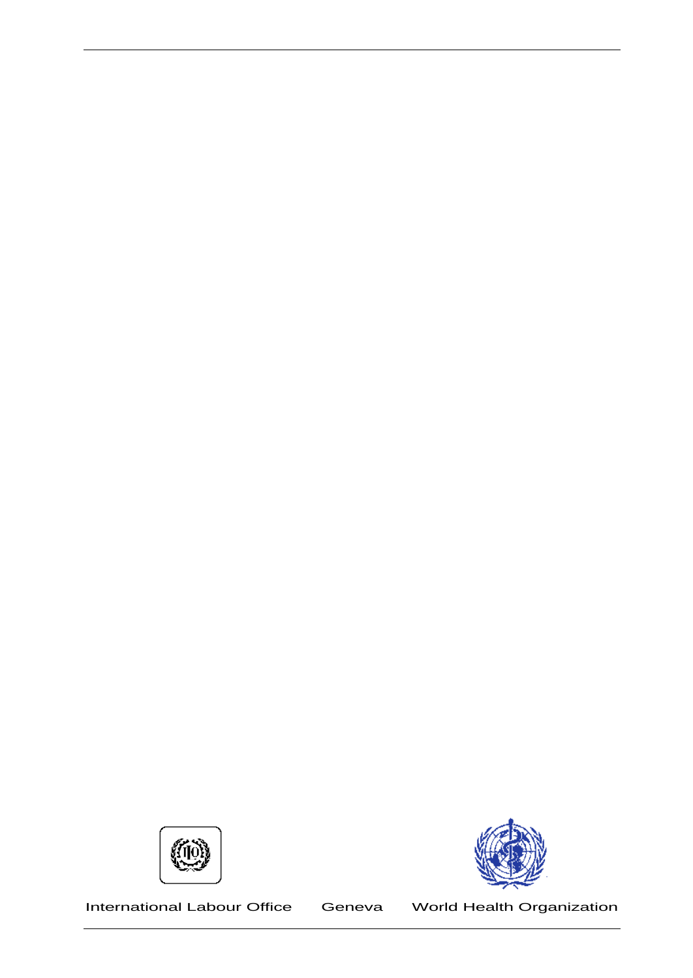

International Labour Office Geneva World Health Organization

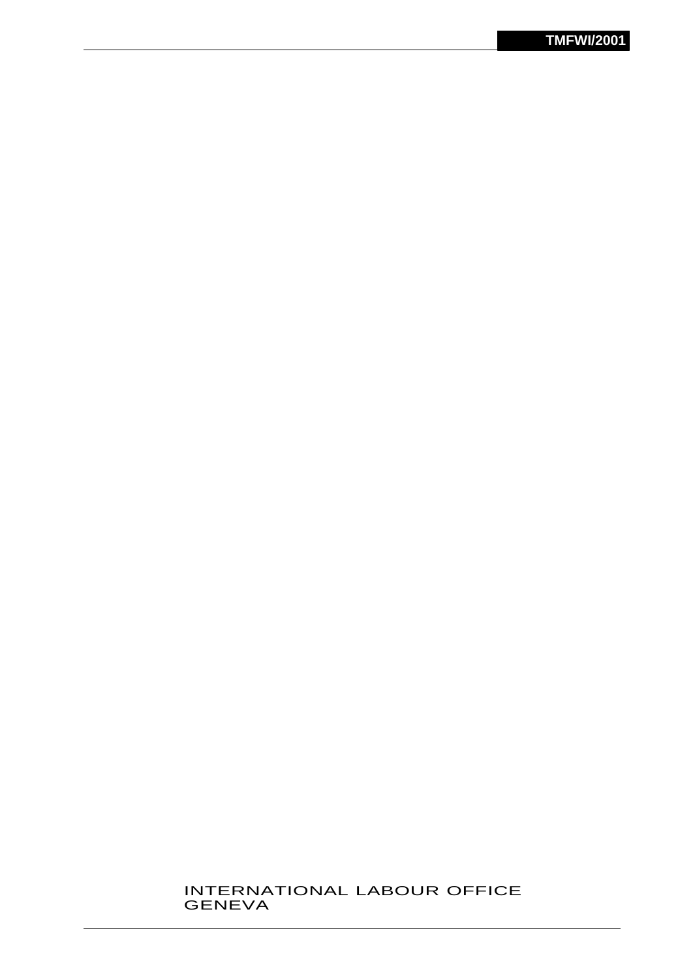#### INTERNATIONAL LABOUR OFFICE GENEVA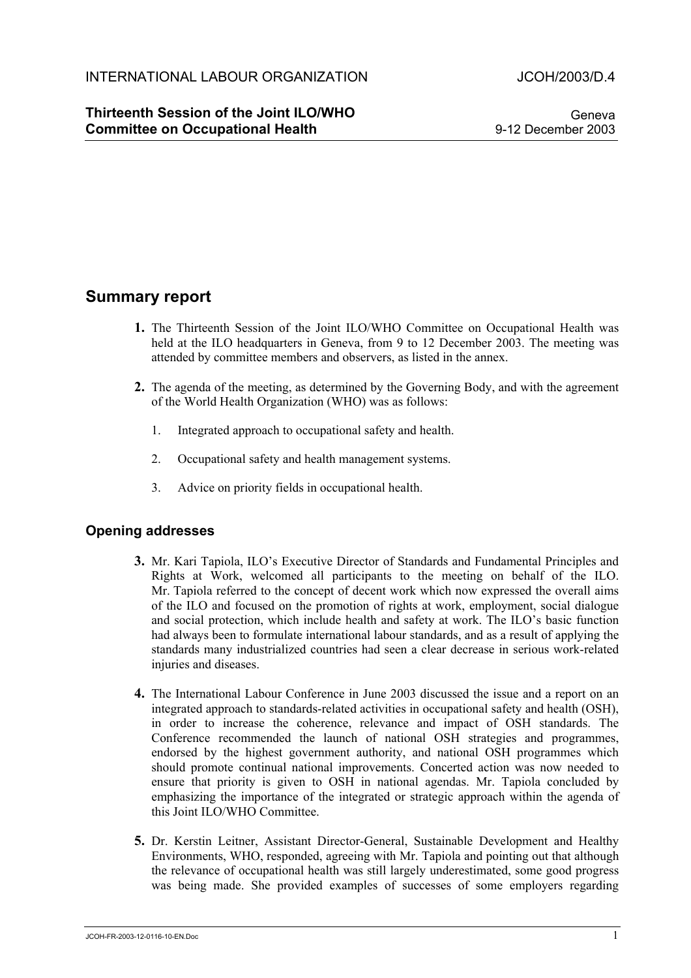### **Thirteenth Session of the Joint ILO/WHO Committee on Occupational Health**

Geneva 9-12 December 2003

# **Summary report**

- **1.** The Thirteenth Session of the Joint ILO/WHO Committee on Occupational Health was held at the ILO headquarters in Geneva, from 9 to 12 December 2003. The meeting was attended by committee members and observers, as listed in the annex.
- **2.** The agenda of the meeting, as determined by the Governing Body, and with the agreement of the World Health Organization (WHO) was as follows:
	- 1. Integrated approach to occupational safety and health.
	- 2. Occupational safety and health management systems.
	- 3. Advice on priority fields in occupational health.

### **Opening addresses**

- **3.** Mr. Kari Tapiola, ILO's Executive Director of Standards and Fundamental Principles and Rights at Work, welcomed all participants to the meeting on behalf of the ILO. Mr. Tapiola referred to the concept of decent work which now expressed the overall aims of the ILO and focused on the promotion of rights at work, employment, social dialogue and social protection, which include health and safety at work. The ILO's basic function had always been to formulate international labour standards, and as a result of applying the standards many industrialized countries had seen a clear decrease in serious work-related injuries and diseases.
- **4.** The International Labour Conference in June 2003 discussed the issue and a report on an integrated approach to standards-related activities in occupational safety and health (OSH), in order to increase the coherence, relevance and impact of OSH standards. The Conference recommended the launch of national OSH strategies and programmes, endorsed by the highest government authority, and national OSH programmes which should promote continual national improvements. Concerted action was now needed to ensure that priority is given to OSH in national agendas. Mr. Tapiola concluded by emphasizing the importance of the integrated or strategic approach within the agenda of this Joint ILO/WHO Committee.
- **5.** Dr. Kerstin Leitner, Assistant Director-General, Sustainable Development and Healthy Environments, WHO, responded, agreeing with Mr. Tapiola and pointing out that although the relevance of occupational health was still largely underestimated, some good progress was being made. She provided examples of successes of some employers regarding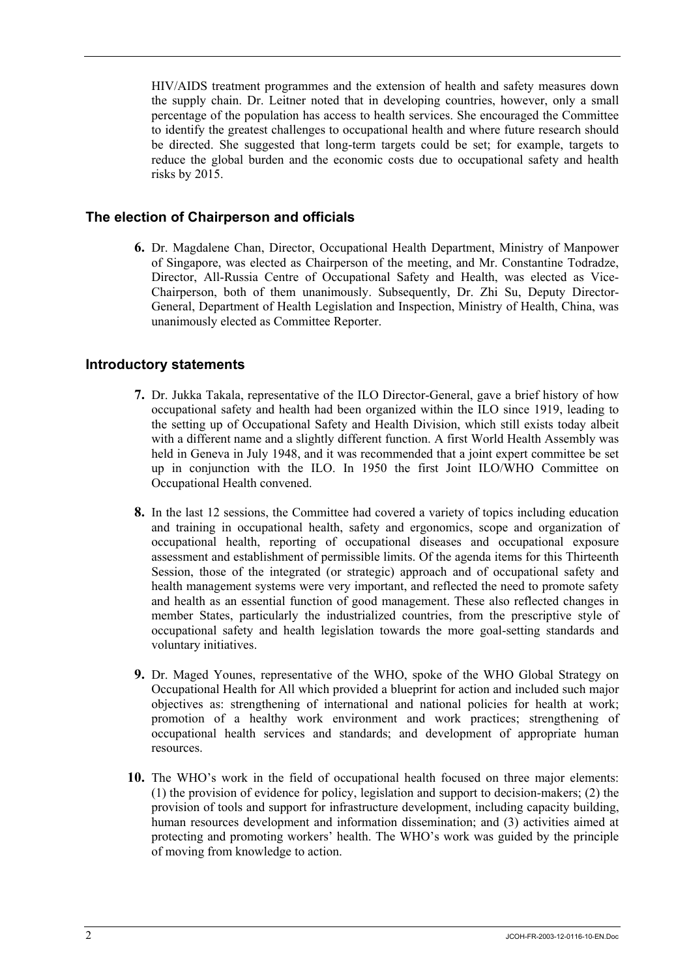HIV/AIDS treatment programmes and the extension of health and safety measures down the supply chain. Dr. Leitner noted that in developing countries, however, only a small percentage of the population has access to health services. She encouraged the Committee to identify the greatest challenges to occupational health and where future research should be directed. She suggested that long-term targets could be set; for example, targets to reduce the global burden and the economic costs due to occupational safety and health risks by 2015.

#### **The election of Chairperson and officials**

**6.** Dr. Magdalene Chan, Director, Occupational Health Department, Ministry of Manpower of Singapore, was elected as Chairperson of the meeting, and Mr. Constantine Todradze, Director, All-Russia Centre of Occupational Safety and Health, was elected as Vice-Chairperson, both of them unanimously. Subsequently, Dr. Zhi Su, Deputy Director-General, Department of Health Legislation and Inspection, Ministry of Health, China, was unanimously elected as Committee Reporter.

#### **Introductory statements**

- **7.** Dr. Jukka Takala, representative of the ILO Director-General, gave a brief history of how occupational safety and health had been organized within the ILO since 1919, leading to the setting up of Occupational Safety and Health Division, which still exists today albeit with a different name and a slightly different function. A first World Health Assembly was held in Geneva in July 1948, and it was recommended that a joint expert committee be set up in conjunction with the ILO. In 1950 the first Joint ILO/WHO Committee on Occupational Health convened.
- **8.** In the last 12 sessions, the Committee had covered a variety of topics including education and training in occupational health, safety and ergonomics, scope and organization of occupational health, reporting of occupational diseases and occupational exposure assessment and establishment of permissible limits. Of the agenda items for this Thirteenth Session, those of the integrated (or strategic) approach and of occupational safety and health management systems were very important, and reflected the need to promote safety and health as an essential function of good management. These also reflected changes in member States, particularly the industrialized countries, from the prescriptive style of occupational safety and health legislation towards the more goal-setting standards and voluntary initiatives.
- **9.** Dr. Maged Younes, representative of the WHO, spoke of the WHO Global Strategy on Occupational Health for All which provided a blueprint for action and included such major objectives as: strengthening of international and national policies for health at work; promotion of a healthy work environment and work practices; strengthening of occupational health services and standards; and development of appropriate human resources.
- **10.** The WHO's work in the field of occupational health focused on three major elements: (1) the provision of evidence for policy, legislation and support to decision-makers; (2) the provision of tools and support for infrastructure development, including capacity building, human resources development and information dissemination; and (3) activities aimed at protecting and promoting workers' health. The WHO's work was guided by the principle of moving from knowledge to action.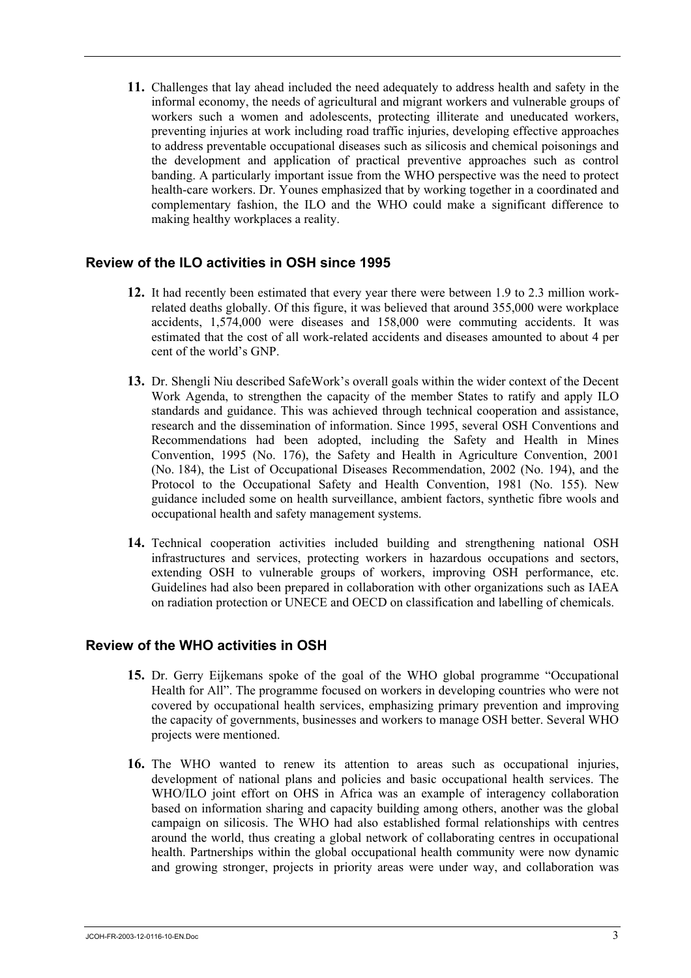**11.** Challenges that lay ahead included the need adequately to address health and safety in the informal economy, the needs of agricultural and migrant workers and vulnerable groups of workers such a women and adolescents, protecting illiterate and uneducated workers, preventing injuries at work including road traffic injuries, developing effective approaches to address preventable occupational diseases such as silicosis and chemical poisonings and the development and application of practical preventive approaches such as control banding. A particularly important issue from the WHO perspective was the need to protect health-care workers. Dr. Younes emphasized that by working together in a coordinated and complementary fashion, the ILO and the WHO could make a significant difference to making healthy workplaces a reality.

### **Review of the ILO activities in OSH since 1995**

- **12.** It had recently been estimated that every year there were between 1.9 to 2.3 million workrelated deaths globally. Of this figure, it was believed that around 355,000 were workplace accidents, 1,574,000 were diseases and 158,000 were commuting accidents. It was estimated that the cost of all work-related accidents and diseases amounted to about 4 per cent of the world's GNP.
- **13.** Dr. Shengli Niu described SafeWork's overall goals within the wider context of the Decent Work Agenda, to strengthen the capacity of the member States to ratify and apply ILO standards and guidance. This was achieved through technical cooperation and assistance, research and the dissemination of information. Since 1995, several OSH Conventions and Recommendations had been adopted, including the Safety and Health in Mines Convention, 1995 (No. 176), the Safety and Health in Agriculture Convention, 2001 (No. 184), the List of Occupational Diseases Recommendation, 2002 (No. 194), and the Protocol to the Occupational Safety and Health Convention, 1981 (No. 155). New guidance included some on health surveillance, ambient factors, synthetic fibre wools and occupational health and safety management systems.
- **14.** Technical cooperation activities included building and strengthening national OSH infrastructures and services, protecting workers in hazardous occupations and sectors, extending OSH to vulnerable groups of workers, improving OSH performance, etc. Guidelines had also been prepared in collaboration with other organizations such as IAEA on radiation protection or UNECE and OECD on classification and labelling of chemicals.

#### **Review of the WHO activities in OSH**

- **15.** Dr. Gerry Eijkemans spoke of the goal of the WHO global programme "Occupational Health for All". The programme focused on workers in developing countries who were not covered by occupational health services, emphasizing primary prevention and improving the capacity of governments, businesses and workers to manage OSH better. Several WHO projects were mentioned.
- **16.** The WHO wanted to renew its attention to areas such as occupational injuries, development of national plans and policies and basic occupational health services. The WHO/ILO joint effort on OHS in Africa was an example of interagency collaboration based on information sharing and capacity building among others, another was the global campaign on silicosis. The WHO had also established formal relationships with centres around the world, thus creating a global network of collaborating centres in occupational health. Partnerships within the global occupational health community were now dynamic and growing stronger, projects in priority areas were under way, and collaboration was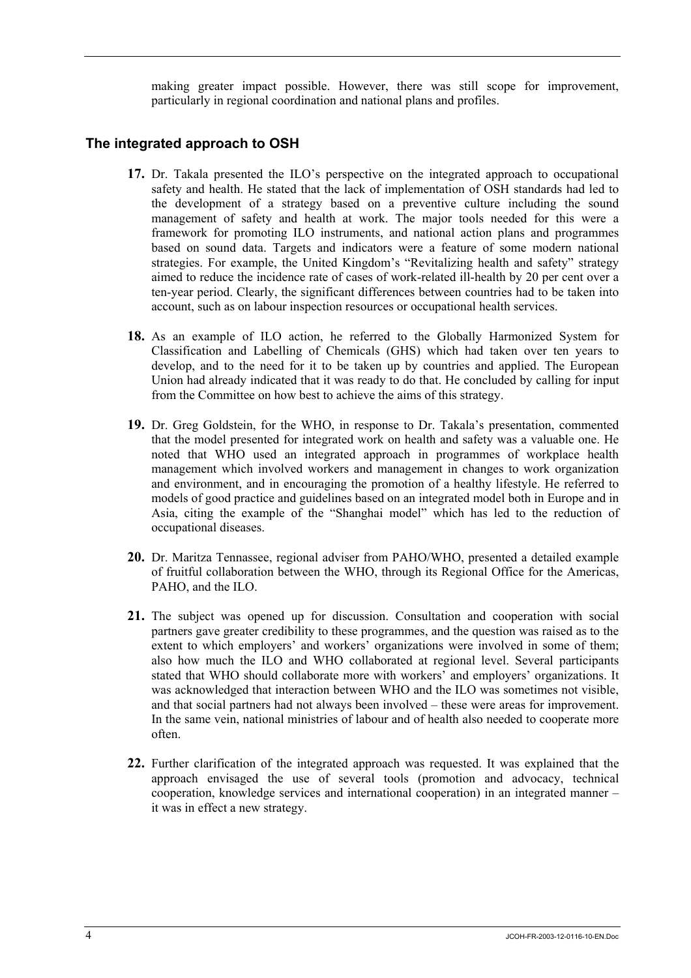making greater impact possible. However, there was still scope for improvement, particularly in regional coordination and national plans and profiles.

#### **The integrated approach to OSH**

- **17.** Dr. Takala presented the ILO's perspective on the integrated approach to occupational safety and health. He stated that the lack of implementation of OSH standards had led to the development of a strategy based on a preventive culture including the sound management of safety and health at work. The major tools needed for this were a framework for promoting ILO instruments, and national action plans and programmes based on sound data. Targets and indicators were a feature of some modern national strategies. For example, the United Kingdom's "Revitalizing health and safety" strategy aimed to reduce the incidence rate of cases of work-related ill-health by 20 per cent over a ten-year period. Clearly, the significant differences between countries had to be taken into account, such as on labour inspection resources or occupational health services.
- **18.** As an example of ILO action, he referred to the Globally Harmonized System for Classification and Labelling of Chemicals (GHS) which had taken over ten years to develop, and to the need for it to be taken up by countries and applied. The European Union had already indicated that it was ready to do that. He concluded by calling for input from the Committee on how best to achieve the aims of this strategy.
- **19.** Dr. Greg Goldstein, for the WHO, in response to Dr. Takala's presentation, commented that the model presented for integrated work on health and safety was a valuable one. He noted that WHO used an integrated approach in programmes of workplace health management which involved workers and management in changes to work organization and environment, and in encouraging the promotion of a healthy lifestyle. He referred to models of good practice and guidelines based on an integrated model both in Europe and in Asia, citing the example of the "Shanghai model" which has led to the reduction of occupational diseases.
- **20.** Dr. Maritza Tennassee, regional adviser from PAHO/WHO, presented a detailed example of fruitful collaboration between the WHO, through its Regional Office for the Americas, PAHO, and the ILO.
- **21.** The subject was opened up for discussion. Consultation and cooperation with social partners gave greater credibility to these programmes, and the question was raised as to the extent to which employers' and workers' organizations were involved in some of them; also how much the ILO and WHO collaborated at regional level. Several participants stated that WHO should collaborate more with workers' and employers' organizations. It was acknowledged that interaction between WHO and the ILO was sometimes not visible, and that social partners had not always been involved – these were areas for improvement. In the same vein, national ministries of labour and of health also needed to cooperate more often.
- **22.** Further clarification of the integrated approach was requested. It was explained that the approach envisaged the use of several tools (promotion and advocacy, technical cooperation, knowledge services and international cooperation) in an integrated manner – it was in effect a new strategy.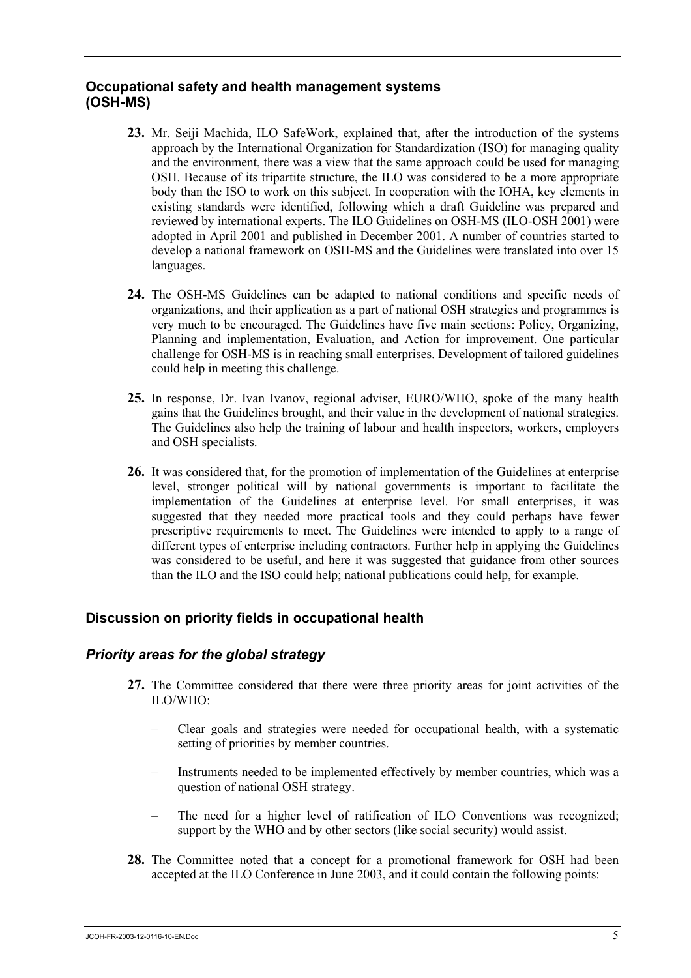### **Occupational safety and health management systems (OSH-MS)**

- **23.** Mr. Seiji Machida, ILO SafeWork, explained that, after the introduction of the systems approach by the International Organization for Standardization (ISO) for managing quality and the environment, there was a view that the same approach could be used for managing OSH. Because of its tripartite structure, the ILO was considered to be a more appropriate body than the ISO to work on this subject. In cooperation with the IOHA, key elements in existing standards were identified, following which a draft Guideline was prepared and reviewed by international experts. The ILO Guidelines on OSH-MS (ILO-OSH 2001) were adopted in April 2001 and published in December 2001. A number of countries started to develop a national framework on OSH-MS and the Guidelines were translated into over 15 languages.
- **24.** The OSH-MS Guidelines can be adapted to national conditions and specific needs of organizations, and their application as a part of national OSH strategies and programmes is very much to be encouraged. The Guidelines have five main sections: Policy, Organizing, Planning and implementation, Evaluation, and Action for improvement. One particular challenge for OSH-MS is in reaching small enterprises. Development of tailored guidelines could help in meeting this challenge.
- **25.** In response, Dr. Ivan Ivanov, regional adviser, EURO/WHO, spoke of the many health gains that the Guidelines brought, and their value in the development of national strategies. The Guidelines also help the training of labour and health inspectors, workers, employers and OSH specialists.
- **26.** It was considered that, for the promotion of implementation of the Guidelines at enterprise level, stronger political will by national governments is important to facilitate the implementation of the Guidelines at enterprise level. For small enterprises, it was suggested that they needed more practical tools and they could perhaps have fewer prescriptive requirements to meet. The Guidelines were intended to apply to a range of different types of enterprise including contractors. Further help in applying the Guidelines was considered to be useful, and here it was suggested that guidance from other sources than the ILO and the ISO could help; national publications could help, for example.

# **Discussion on priority fields in occupational health**

### *Priority areas for the global strategy*

- **27.** The Committee considered that there were three priority areas for joint activities of the ILO/WHO:
	- Clear goals and strategies were needed for occupational health, with a systematic setting of priorities by member countries.
	- Instruments needed to be implemented effectively by member countries, which was a question of national OSH strategy.
	- The need for a higher level of ratification of ILO Conventions was recognized; support by the WHO and by other sectors (like social security) would assist.
- **28.** The Committee noted that a concept for a promotional framework for OSH had been accepted at the ILO Conference in June 2003, and it could contain the following points: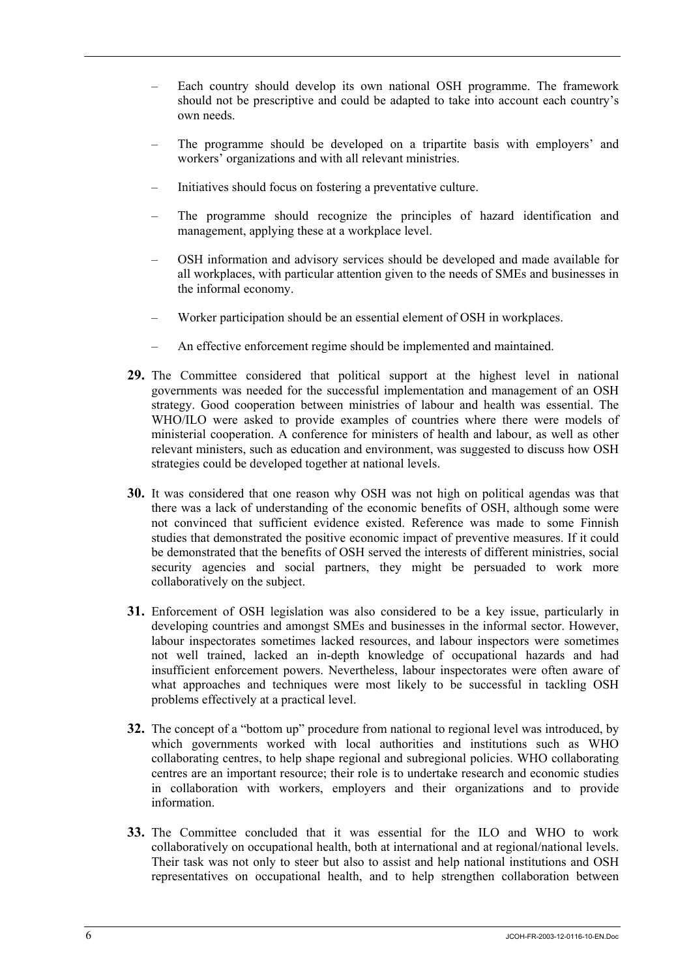- Each country should develop its own national OSH programme. The framework should not be prescriptive and could be adapted to take into account each country's own needs.
- The programme should be developed on a tripartite basis with employers' and workers' organizations and with all relevant ministries.
- Initiatives should focus on fostering a preventative culture.
- The programme should recognize the principles of hazard identification and management, applying these at a workplace level.
- OSH information and advisory services should be developed and made available for all workplaces, with particular attention given to the needs of SMEs and businesses in the informal economy.
- Worker participation should be an essential element of OSH in workplaces.
- An effective enforcement regime should be implemented and maintained.
- **29.** The Committee considered that political support at the highest level in national governments was needed for the successful implementation and management of an OSH strategy. Good cooperation between ministries of labour and health was essential. The WHO/ILO were asked to provide examples of countries where there were models of ministerial cooperation. A conference for ministers of health and labour, as well as other relevant ministers, such as education and environment, was suggested to discuss how OSH strategies could be developed together at national levels.
- **30.** It was considered that one reason why OSH was not high on political agendas was that there was a lack of understanding of the economic benefits of OSH, although some were not convinced that sufficient evidence existed. Reference was made to some Finnish studies that demonstrated the positive economic impact of preventive measures. If it could be demonstrated that the benefits of OSH served the interests of different ministries, social security agencies and social partners, they might be persuaded to work more collaboratively on the subject.
- **31.** Enforcement of OSH legislation was also considered to be a key issue, particularly in developing countries and amongst SMEs and businesses in the informal sector. However, labour inspectorates sometimes lacked resources, and labour inspectors were sometimes not well trained, lacked an in-depth knowledge of occupational hazards and had insufficient enforcement powers. Nevertheless, labour inspectorates were often aware of what approaches and techniques were most likely to be successful in tackling OSH problems effectively at a practical level.
- **32.** The concept of a "bottom up" procedure from national to regional level was introduced, by which governments worked with local authorities and institutions such as WHO collaborating centres, to help shape regional and subregional policies. WHO collaborating centres are an important resource; their role is to undertake research and economic studies in collaboration with workers, employers and their organizations and to provide information.
- **33.** The Committee concluded that it was essential for the ILO and WHO to work collaboratively on occupational health, both at international and at regional/national levels. Their task was not only to steer but also to assist and help national institutions and OSH representatives on occupational health, and to help strengthen collaboration between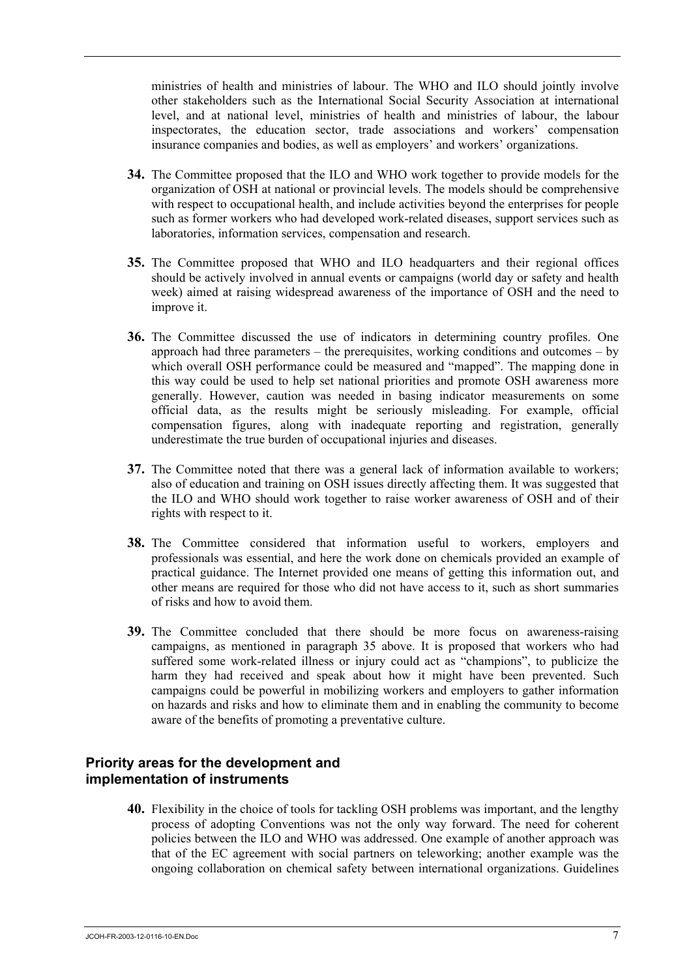ministries of health and ministries of labour. The WHO and ILO should jointly involve other stakeholders such as the International Social Security Association at international level, and at national level, ministries of health and ministries of labour, the labour inspectorates, the education sector, trade associations and workers' compensation insurance companies and bodies, as well as employers' and workers' organizations.

- **34.** The Committee proposed that the ILO and WHO work together to provide models for the organization of OSH at national or provincial levels. The models should be comprehensive with respect to occupational health, and include activities beyond the enterprises for people such as former workers who had developed work-related diseases, support services such as laboratories, information services, compensation and research.
- **35.** The Committee proposed that WHO and ILO headquarters and their regional offices should be actively involved in annual events or campaigns (world day or safety and health week) aimed at raising widespread awareness of the importance of OSH and the need to improve it.
- **36.** The Committee discussed the use of indicators in determining country profiles. One approach had three parameters – the prerequisites, working conditions and outcomes – by which overall OSH performance could be measured and "mapped". The mapping done in this way could be used to help set national priorities and promote OSH awareness more generally. However, caution was needed in basing indicator measurements on some official data, as the results might be seriously misleading. For example, official compensation figures, along with inadequate reporting and registration, generally underestimate the true burden of occupational injuries and diseases.
- **37.** The Committee noted that there was a general lack of information available to workers; also of education and training on OSH issues directly affecting them. It was suggested that the ILO and WHO should work together to raise worker awareness of OSH and of their rights with respect to it.
- **38.** The Committee considered that information useful to workers, employers and professionals was essential, and here the work done on chemicals provided an example of practical guidance. The Internet provided one means of getting this information out, and other means are required for those who did not have access to it, such as short summaries of risks and how to avoid them.
- **39.** The Committee concluded that there should be more focus on awareness-raising campaigns, as mentioned in paragraph 35 above. It is proposed that workers who had suffered some work-related illness or injury could act as "champions", to publicize the harm they had received and speak about how it might have been prevented. Such campaigns could be powerful in mobilizing workers and employers to gather information on hazards and risks and how to eliminate them and in enabling the community to become aware of the benefits of promoting a preventative culture.

#### **Priority areas for the development and implementation of instruments**

**40.** Flexibility in the choice of tools for tackling OSH problems was important, and the lengthy process of adopting Conventions was not the only way forward. The need for coherent policies between the ILO and WHO was addressed. One example of another approach was that of the EC agreement with social partners on teleworking; another example was the ongoing collaboration on chemical safety between international organizations. Guidelines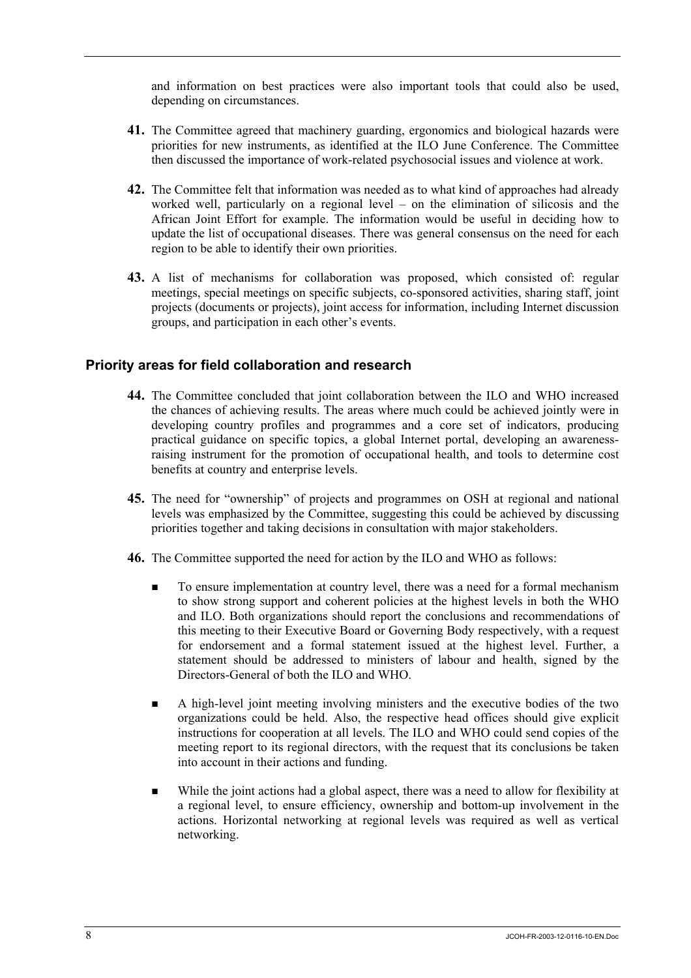and information on best practices were also important tools that could also be used, depending on circumstances.

- **41.** The Committee agreed that machinery guarding, ergonomics and biological hazards were priorities for new instruments, as identified at the ILO June Conference. The Committee then discussed the importance of work-related psychosocial issues and violence at work.
- **42.** The Committee felt that information was needed as to what kind of approaches had already worked well, particularly on a regional level – on the elimination of silicosis and the African Joint Effort for example. The information would be useful in deciding how to update the list of occupational diseases. There was general consensus on the need for each region to be able to identify their own priorities.
- **43.** A list of mechanisms for collaboration was proposed, which consisted of: regular meetings, special meetings on specific subjects, co-sponsored activities, sharing staff, joint projects (documents or projects), joint access for information, including Internet discussion groups, and participation in each other's events.

### **Priority areas for field collaboration and research**

- **44.** The Committee concluded that joint collaboration between the ILO and WHO increased the chances of achieving results. The areas where much could be achieved jointly were in developing country profiles and programmes and a core set of indicators, producing practical guidance on specific topics, a global Internet portal, developing an awarenessraising instrument for the promotion of occupational health, and tools to determine cost benefits at country and enterprise levels.
- **45.** The need for "ownership" of projects and programmes on OSH at regional and national levels was emphasized by the Committee, suggesting this could be achieved by discussing priorities together and taking decisions in consultation with major stakeholders.
- **46.** The Committee supported the need for action by the ILO and WHO as follows:
	- To ensure implementation at country level, there was a need for a formal mechanism to show strong support and coherent policies at the highest levels in both the WHO and ILO. Both organizations should report the conclusions and recommendations of this meeting to their Executive Board or Governing Body respectively, with a request for endorsement and a formal statement issued at the highest level. Further, a statement should be addressed to ministers of labour and health, signed by the Directors-General of both the ILO and WHO.
	- A high-level joint meeting involving ministers and the executive bodies of the two organizations could be held. Also, the respective head offices should give explicit instructions for cooperation at all levels. The ILO and WHO could send copies of the meeting report to its regional directors, with the request that its conclusions be taken into account in their actions and funding.
	- While the joint actions had a global aspect, there was a need to allow for flexibility at a regional level, to ensure efficiency, ownership and bottom-up involvement in the actions. Horizontal networking at regional levels was required as well as vertical networking.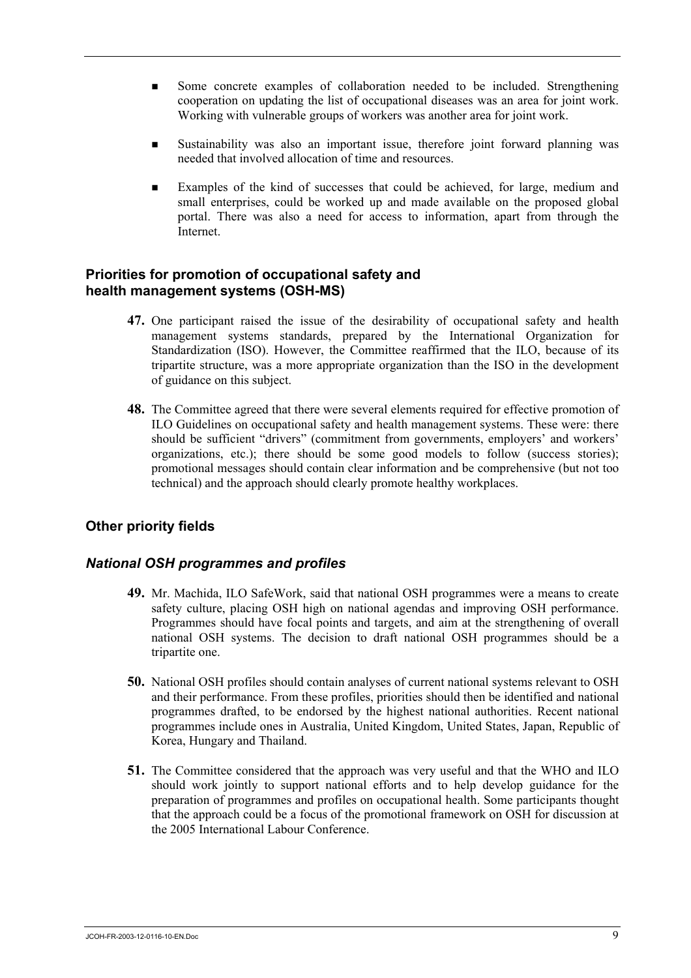- Some concrete examples of collaboration needed to be included. Strengthening cooperation on updating the list of occupational diseases was an area for joint work. Working with vulnerable groups of workers was another area for joint work.
- Sustainability was also an important issue, therefore joint forward planning was needed that involved allocation of time and resources.
- Examples of the kind of successes that could be achieved, for large, medium and small enterprises, could be worked up and made available on the proposed global portal. There was also a need for access to information, apart from through the **Internet**

### **Priorities for promotion of occupational safety and health management systems (OSH-MS)**

- **47.** One participant raised the issue of the desirability of occupational safety and health management systems standards, prepared by the International Organization for Standardization (ISO). However, the Committee reaffirmed that the ILO, because of its tripartite structure, was a more appropriate organization than the ISO in the development of guidance on this subject.
- **48.** The Committee agreed that there were several elements required for effective promotion of ILO Guidelines on occupational safety and health management systems. These were: there should be sufficient "drivers" (commitment from governments, employers' and workers' organizations, etc.); there should be some good models to follow (success stories); promotional messages should contain clear information and be comprehensive (but not too technical) and the approach should clearly promote healthy workplaces.

### **Other priority fields**

### *National OSH programmes and profiles*

- **49.** Mr. Machida, ILO SafeWork, said that national OSH programmes were a means to create safety culture, placing OSH high on national agendas and improving OSH performance. Programmes should have focal points and targets, and aim at the strengthening of overall national OSH systems. The decision to draft national OSH programmes should be a tripartite one.
- **50.** National OSH profiles should contain analyses of current national systems relevant to OSH and their performance. From these profiles, priorities should then be identified and national programmes drafted, to be endorsed by the highest national authorities. Recent national programmes include ones in Australia, United Kingdom, United States, Japan, Republic of Korea, Hungary and Thailand.
- **51.** The Committee considered that the approach was very useful and that the WHO and ILO should work jointly to support national efforts and to help develop guidance for the preparation of programmes and profiles on occupational health. Some participants thought that the approach could be a focus of the promotional framework on OSH for discussion at the 2005 International Labour Conference.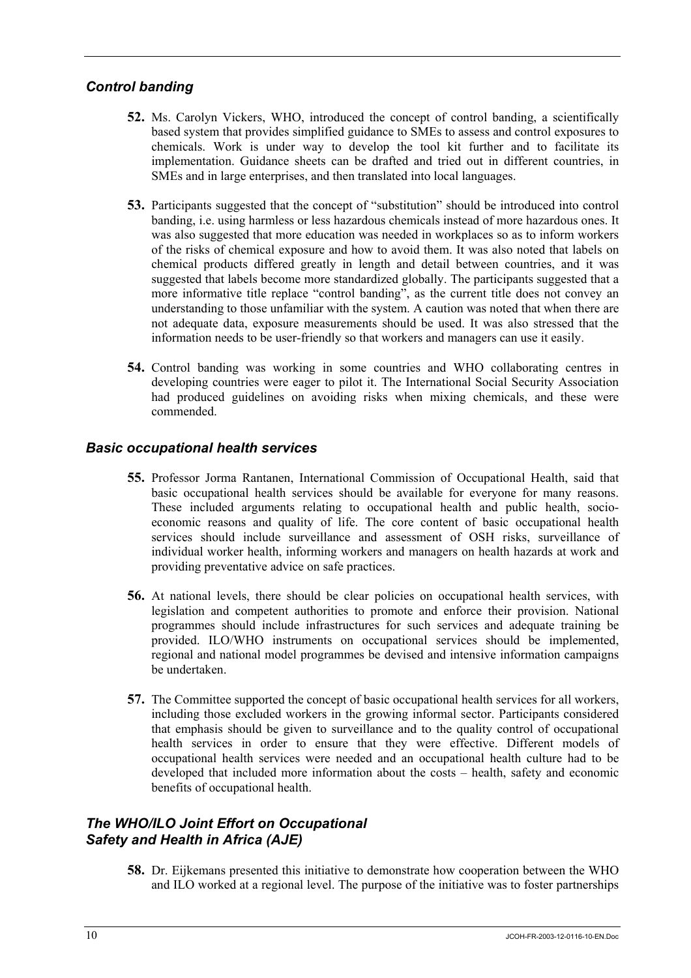# *Control banding*

- **52.** Ms. Carolyn Vickers, WHO, introduced the concept of control banding, a scientifically based system that provides simplified guidance to SMEs to assess and control exposures to chemicals. Work is under way to develop the tool kit further and to facilitate its implementation. Guidance sheets can be drafted and tried out in different countries, in SMEs and in large enterprises, and then translated into local languages.
- **53.** Participants suggested that the concept of "substitution" should be introduced into control banding, i.e. using harmless or less hazardous chemicals instead of more hazardous ones. It was also suggested that more education was needed in workplaces so as to inform workers of the risks of chemical exposure and how to avoid them. It was also noted that labels on chemical products differed greatly in length and detail between countries, and it was suggested that labels become more standardized globally. The participants suggested that a more informative title replace "control banding", as the current title does not convey an understanding to those unfamiliar with the system. A caution was noted that when there are not adequate data, exposure measurements should be used. It was also stressed that the information needs to be user-friendly so that workers and managers can use it easily.
- **54.** Control banding was working in some countries and WHO collaborating centres in developing countries were eager to pilot it. The International Social Security Association had produced guidelines on avoiding risks when mixing chemicals, and these were commended.

### *Basic occupational health services*

- **55.** Professor Jorma Rantanen, International Commission of Occupational Health, said that basic occupational health services should be available for everyone for many reasons. These included arguments relating to occupational health and public health, socioeconomic reasons and quality of life. The core content of basic occupational health services should include surveillance and assessment of OSH risks, surveillance of individual worker health, informing workers and managers on health hazards at work and providing preventative advice on safe practices.
- **56.** At national levels, there should be clear policies on occupational health services, with legislation and competent authorities to promote and enforce their provision. National programmes should include infrastructures for such services and adequate training be provided. ILO/WHO instruments on occupational services should be implemented, regional and national model programmes be devised and intensive information campaigns be undertaken.
- **57.** The Committee supported the concept of basic occupational health services for all workers, including those excluded workers in the growing informal sector. Participants considered that emphasis should be given to surveillance and to the quality control of occupational health services in order to ensure that they were effective. Different models of occupational health services were needed and an occupational health culture had to be developed that included more information about the costs – health, safety and economic benefits of occupational health.

# *The WHO/ILO Joint Effort on Occupational Safety and Health in Africa (AJE)*

**58.** Dr. Eijkemans presented this initiative to demonstrate how cooperation between the WHO and ILO worked at a regional level. The purpose of the initiative was to foster partnerships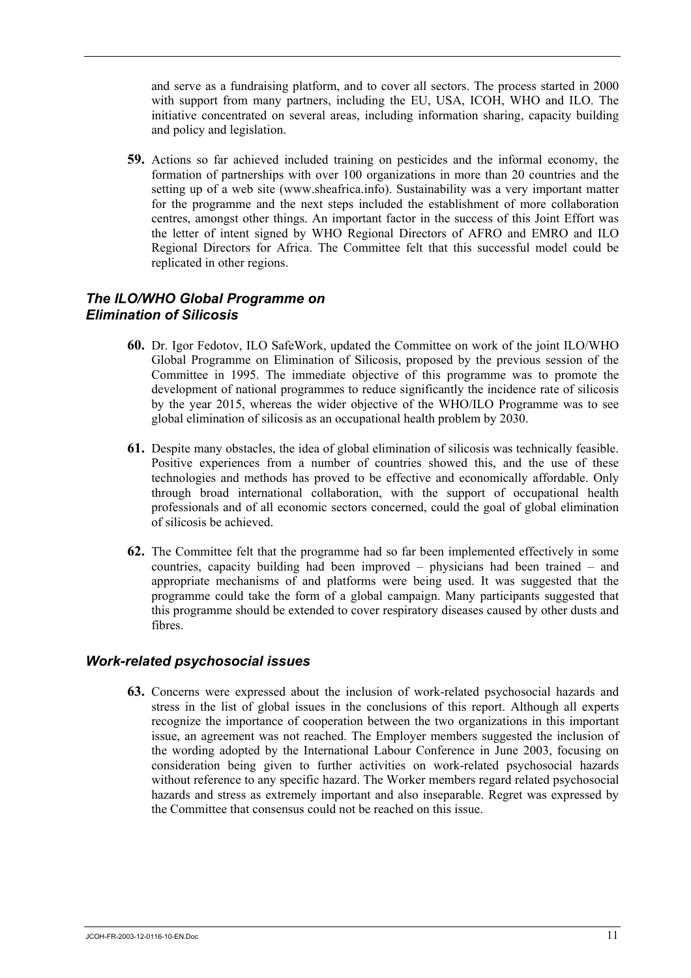and serve as a fundraising platform, and to cover all sectors. The process started in 2000 with support from many partners, including the EU, USA, ICOH, WHO and ILO. The initiative concentrated on several areas, including information sharing, capacity building and policy and legislation.

**59.** Actions so far achieved included training on pesticides and the informal economy, the formation of partnerships with over 100 organizations in more than 20 countries and the setting up of a web site (www.sheafrica.info). Sustainability was a very important matter for the programme and the next steps included the establishment of more collaboration centres, amongst other things. An important factor in the success of this Joint Effort was the letter of intent signed by WHO Regional Directors of AFRO and EMRO and ILO Regional Directors for Africa. The Committee felt that this successful model could be replicated in other regions.

### *The ILO/WHO Global Programme on Elimination of Silicosis*

- **60.** Dr. Igor Fedotov, ILO SafeWork, updated the Committee on work of the joint ILO/WHO Global Programme on Elimination of Silicosis, proposed by the previous session of the Committee in 1995. The immediate objective of this programme was to promote the development of national programmes to reduce significantly the incidence rate of silicosis by the year 2015, whereas the wider objective of the WHO/ILO Programme was to see global elimination of silicosis as an occupational health problem by 2030.
- **61.** Despite many obstacles, the idea of global elimination of silicosis was technically feasible. Positive experiences from a number of countries showed this, and the use of these technologies and methods has proved to be effective and economically affordable. Only through broad international collaboration, with the support of occupational health professionals and of all economic sectors concerned, could the goal of global elimination of silicosis be achieved.
- **62.** The Committee felt that the programme had so far been implemented effectively in some countries, capacity building had been improved – physicians had been trained – and appropriate mechanisms of and platforms were being used. It was suggested that the programme could take the form of a global campaign. Many participants suggested that this programme should be extended to cover respiratory diseases caused by other dusts and fibres.

### *Work-related psychosocial issues*

**63.** Concerns were expressed about the inclusion of work-related psychosocial hazards and stress in the list of global issues in the conclusions of this report. Although all experts recognize the importance of cooperation between the two organizations in this important issue, an agreement was not reached. The Employer members suggested the inclusion of the wording adopted by the International Labour Conference in June 2003, focusing on consideration being given to further activities on work-related psychosocial hazards without reference to any specific hazard. The Worker members regard related psychosocial hazards and stress as extremely important and also inseparable. Regret was expressed by the Committee that consensus could not be reached on this issue.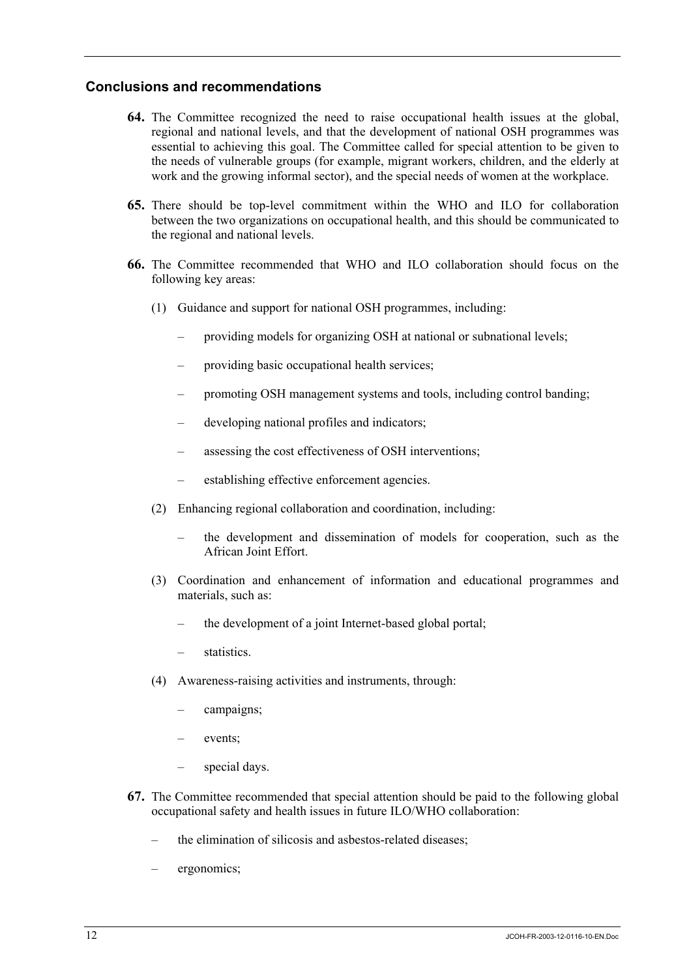### **Conclusions and recommendations**

- **64.** The Committee recognized the need to raise occupational health issues at the global, regional and national levels, and that the development of national OSH programmes was essential to achieving this goal. The Committee called for special attention to be given to the needs of vulnerable groups (for example, migrant workers, children, and the elderly at work and the growing informal sector), and the special needs of women at the workplace.
- **65.** There should be top-level commitment within the WHO and ILO for collaboration between the two organizations on occupational health, and this should be communicated to the regional and national levels.
- **66.** The Committee recommended that WHO and ILO collaboration should focus on the following key areas:
	- (1) Guidance and support for national OSH programmes, including:
		- providing models for organizing OSH at national or subnational levels;
		- providing basic occupational health services;
		- promoting OSH management systems and tools, including control banding;
		- developing national profiles and indicators;
		- assessing the cost effectiveness of OSH interventions;
		- establishing effective enforcement agencies.
	- (2) Enhancing regional collaboration and coordination, including:
		- the development and dissemination of models for cooperation, such as the African Joint Effort.
	- (3) Coordination and enhancement of information and educational programmes and materials, such as:
		- the development of a joint Internet-based global portal;
		- statistics.
	- (4) Awareness-raising activities and instruments, through:
		- campaigns;
		- events:
		- special days.
- **67.** The Committee recommended that special attention should be paid to the following global occupational safety and health issues in future ILO/WHO collaboration:
	- the elimination of silicosis and asbestos-related diseases;
	- ergonomics;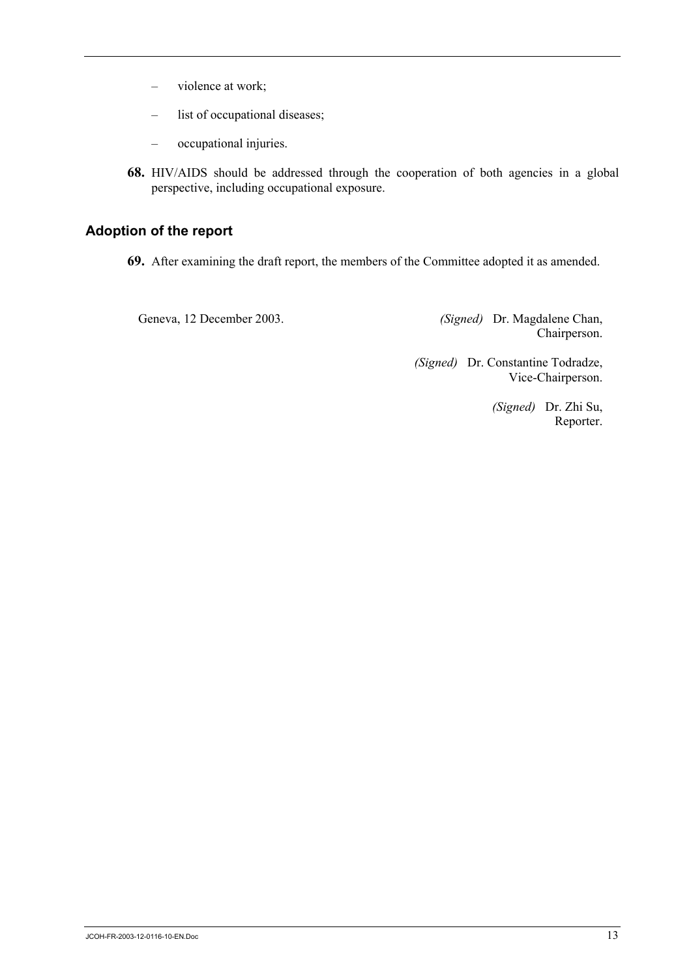- violence at work;
- list of occupational diseases;
- occupational injuries.
- **68.** HIV/AIDS should be addressed through the cooperation of both agencies in a global perspective, including occupational exposure.

# **Adoption of the report**

**69.** After examining the draft report, the members of the Committee adopted it as amended.

Geneva, 12 December 2003. *(Signed)* Dr. Magdalene Chan, Chairperson.

> *(Signed)* Dr. Constantine Todradze, Vice-Chairperson.

> > *(Signed)* Dr. Zhi Su, Reporter.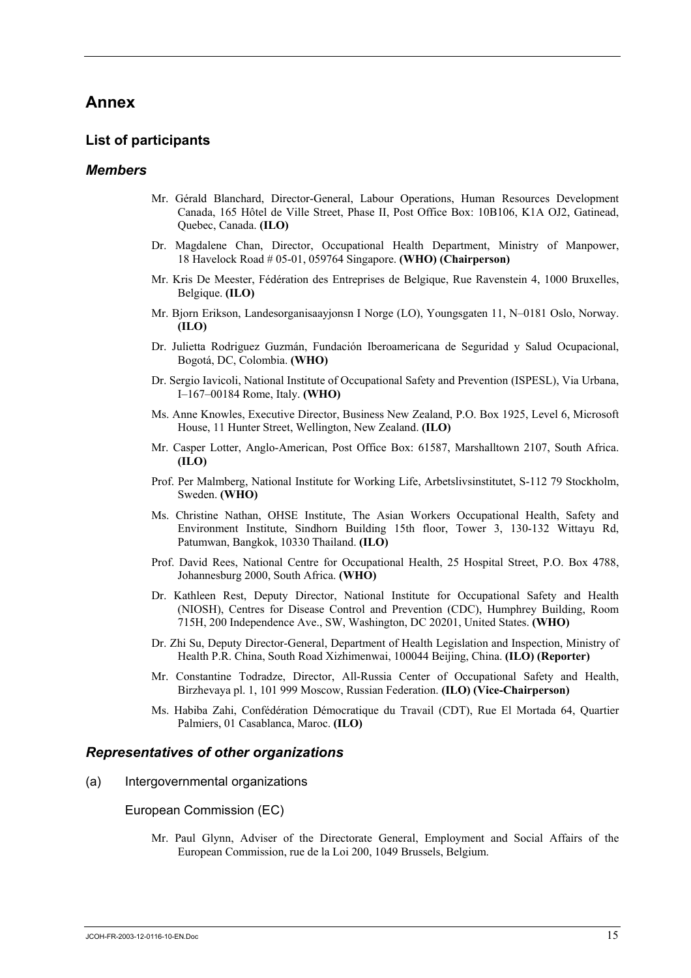# **Annex**

#### **List of participants**

#### *Members*

- Mr. Gérald Blanchard, Director-General, Labour Operations, Human Resources Development Canada, 165 Hôtel de Ville Street, Phase II, Post Office Box: 10B106, K1A OJ2, Gatinead, Quebec, Canada. **(ILO)**
- Dr. Magdalene Chan, Director, Occupational Health Department, Ministry of Manpower, 18 Havelock Road # 05-01, 059764 Singapore. **(WHO) (Chairperson)**
- Mr. Kris De Meester, Fédération des Entreprises de Belgique, Rue Ravenstein 4, 1000 Bruxelles, Belgique. **(ILO)**
- Mr. Bjorn Erikson, Landesorganisaayjonsn I Norge (LO), Youngsgaten 11, N–0181 Oslo, Norway. **(ILO)**
- Dr. Julietta Rodriguez Guzmán, Fundación Iberoamericana de Seguridad y Salud Ocupacional, Bogotá, DC, Colombia. **(WHO)**
- Dr. Sergio Iavicoli, National Institute of Occupational Safety and Prevention (ISPESL), Via Urbana, I–167–00184 Rome, Italy. **(WHO)**
- Ms. Anne Knowles, Executive Director, Business New Zealand, P.O. Box 1925, Level 6, Microsoft House, 11 Hunter Street, Wellington, New Zealand. **(ILO)**
- Mr. Casper Lotter, Anglo-American, Post Office Box: 61587, Marshalltown 2107, South Africa. **(ILO)**
- Prof. Per Malmberg, National Institute for Working Life, Arbetslivsinstitutet, S-112 79 Stockholm, Sweden. **(WHO)**
- Ms. Christine Nathan, OHSE Institute, The Asian Workers Occupational Health, Safety and Environment Institute, Sindhorn Building 15th floor, Tower 3, 130-132 Wittayu Rd, Patumwan, Bangkok, 10330 Thailand. **(ILO)**
- Prof. David Rees, National Centre for Occupational Health, 25 Hospital Street, P.O. Box 4788, Johannesburg 2000, South Africa. **(WHO)**
- Dr. Kathleen Rest, Deputy Director, National Institute for Occupational Safety and Health (NIOSH), Centres for Disease Control and Prevention (CDC), Humphrey Building, Room 715H, 200 Independence Ave., SW, Washington, DC 20201, United States. **(WHO)**
- Dr. Zhi Su, Deputy Director-General, Department of Health Legislation and Inspection, Ministry of Health P.R. China, South Road Xizhimenwai, 100044 Beijing, China. **(ILO) (Reporter)**
- Mr. Constantine Todradze, Director, All-Russia Center of Occupational Safety and Health, Birzhevaya pl. 1, 101 999 Moscow, Russian Federation. **(ILO) (Vice-Chairperson)**
- Ms. Habiba Zahi, Confédération Démocratique du Travail (CDT), Rue El Mortada 64, Quartier Palmiers, 01 Casablanca, Maroc. **(ILO)**

#### *Representatives of other organizations*

(a) Intergovernmental organizations

European Commission (EC)

Mr. Paul Glynn, Adviser of the Directorate General, Employment and Social Affairs of the European Commission, rue de la Loi 200, 1049 Brussels, Belgium.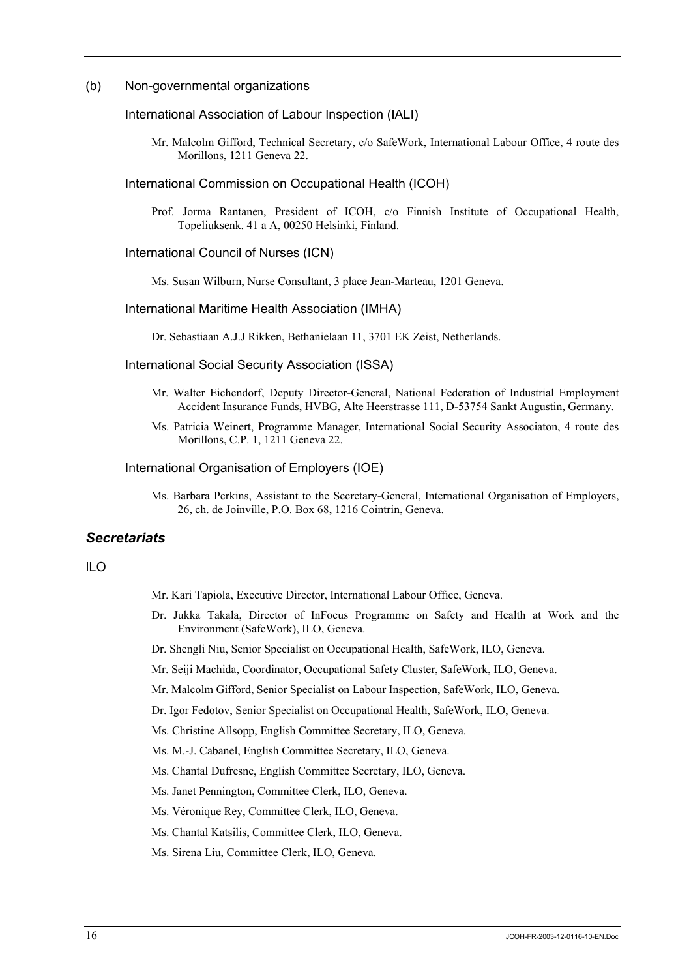#### (b) Non-governmental organizations

#### International Association of Labour Inspection (IALI)

Mr. Malcolm Gifford, Technical Secretary, c/o SafeWork, International Labour Office, 4 route des Morillons, 1211 Geneva 22.

#### International Commission on Occupational Health (ICOH)

Prof. Jorma Rantanen, President of ICOH, c/o Finnish Institute of Occupational Health, Topeliuksenk. 41 a A, 00250 Helsinki, Finland.

#### International Council of Nurses (ICN)

Ms. Susan Wilburn, Nurse Consultant, 3 place Jean-Marteau, 1201 Geneva.

#### International Maritime Health Association (IMHA)

Dr. Sebastiaan A.J.J Rikken, Bethanielaan 11, 3701 EK Zeist, Netherlands.

#### International Social Security Association (ISSA)

- Mr. Walter Eichendorf, Deputy Director-General, National Federation of Industrial Employment Accident Insurance Funds, HVBG, Alte Heerstrasse 111, D-53754 Sankt Augustin, Germany.
- Ms. Patricia Weinert, Programme Manager, International Social Security Associaton, 4 route des Morillons, C.P. 1, 1211 Geneva 22.

#### International Organisation of Employers (IOE)

Ms. Barbara Perkins, Assistant to the Secretary-General, International Organisation of Employers, 26, ch. de Joinville, P.O. Box 68, 1216 Cointrin, Geneva.

#### *Secretariats*

#### ILO

- Mr. Kari Tapiola, Executive Director, International Labour Office, Geneva.
- Dr. Jukka Takala, Director of InFocus Programme on Safety and Health at Work and the Environment (SafeWork), ILO, Geneva.
- Dr. Shengli Niu, Senior Specialist on Occupational Health, SafeWork, ILO, Geneva.
- Mr. Seiji Machida, Coordinator, Occupational Safety Cluster, SafeWork, ILO, Geneva.
- Mr. Malcolm Gifford, Senior Specialist on Labour Inspection, SafeWork, ILO, Geneva.
- Dr. Igor Fedotov, Senior Specialist on Occupational Health, SafeWork, ILO, Geneva.
- Ms. Christine Allsopp, English Committee Secretary, ILO, Geneva.
- Ms. M.-J. Cabanel, English Committee Secretary, ILO, Geneva.
- Ms. Chantal Dufresne, English Committee Secretary, ILO, Geneva.
- Ms. Janet Pennington, Committee Clerk, ILO, Geneva.
- Ms. Véronique Rey, Committee Clerk, ILO, Geneva.
- Ms. Chantal Katsilis, Committee Clerk, ILO, Geneva.
- Ms. Sirena Liu, Committee Clerk, ILO, Geneva.